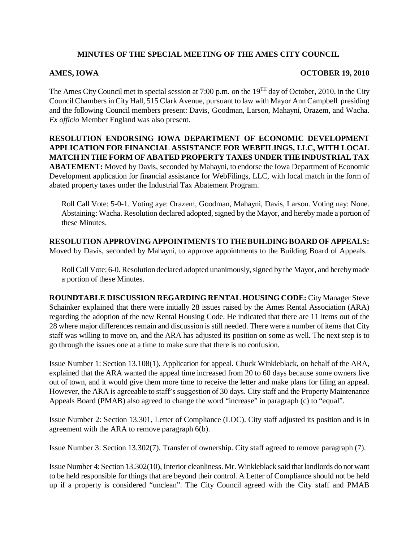## **MINUTES OF THE SPECIAL MEETING OF THE AMES CITY COUNCIL**

## **AMES, IOWA OCTOBER 19, 2010**

The Ames City Council met in special session at 7:00 p.m. on the 19<sup>TH</sup> day of October, 2010, in the City Council Chambers in City Hall, 515 Clark Avenue, pursuant to law with Mayor Ann Campbell presiding and the following Council members present: Davis, Goodman, Larson, Mahayni, Orazem, and Wacha. *Ex officio* Member England was also present.

**RESOLUTION ENDORSING IOWA DEPARTMENT OF ECONOMIC DEVELOPMENT APPLICATION FOR FINANCIAL ASSISTANCE FOR WEBFILINGS, LLC, WITH LOCAL MATCH IN THE FORM OF ABATED PROPERTY TAXES UNDER THE INDUSTRIAL TAX ABATEMENT:** Moved by Davis, seconded by Mahayni, to endorse the Iowa Department of Economic Development application for financial assistance for WebFilings, LLC, with local match in the form of abated property taxes under the Industrial Tax Abatement Program.

Roll Call Vote: 5-0-1. Voting aye: Orazem, Goodman, Mahayni, Davis, Larson. Voting nay: None. Abstaining: Wacha. Resolution declared adopted, signed by the Mayor, and hereby made a portion of these Minutes.

**RESOLUTION APPROVING APPOINTMENTS TO THE BUILDING BOARD OF APPEALS:** Moved by Davis, seconded by Mahayni, to approve appointments to the Building Board of Appeals.

Roll Call Vote: 6-0. Resolution declared adopted unanimously, signed by the Mayor, and hereby made a portion of these Minutes.

**ROUNDTABLE DISCUSSION REGARDING RENTAL HOUSING CODE:** City Manager Steve Schainker explained that there were initially 28 issues raised by the Ames Rental Association (ARA) regarding the adoption of the new Rental Housing Code. He indicated that there are 11 items out of the 28 where major differences remain and discussion is still needed. There were a number of items that City staff was willing to move on, and the ARA has adjusted its position on some as well. The next step is to go through the issues one at a time to make sure that there is no confusion.

Issue Number 1: Section 13.108(1), Application for appeal. Chuck Winkleblack, on behalf of the ARA, explained that the ARA wanted the appeal time increased from 20 to 60 days because some owners live out of town, and it would give them more time to receive the letter and make plans for filing an appeal. However, the ARA is agreeable to staff's suggestion of 30 days. City staff and the Property Maintenance Appeals Board (PMAB) also agreed to change the word "increase" in paragraph (c) to "equal".

Issue Number 2: Section 13.301, Letter of Compliance (LOC). City staff adjusted its position and is in agreement with the ARA to remove paragraph 6(b).

Issue Number 3: Section 13.302(7), Transfer of ownership. City staff agreed to remove paragraph (7).

Issue Number 4: Section 13.302(10), Interior cleanliness. Mr. Winkleblack said that landlords do not want to be held responsible for things that are beyond their control. A Letter of Compliance should not be held up if a property is considered "unclean". The City Council agreed with the City staff and PMAB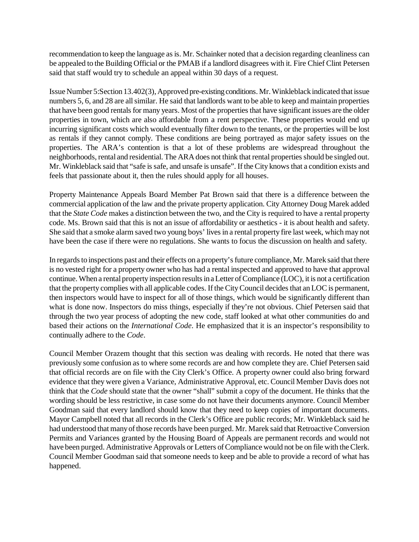recommendation to keep the language as is. Mr. Schainker noted that a decision regarding cleanliness can be appealed to the Building Official or the PMAB if a landlord disagrees with it. Fire Chief Clint Petersen said that staff would try to schedule an appeal within 30 days of a request.

Issue Number 5:Section 13.402(3), Approved pre-existing conditions. Mr. Winkleblack indicated that issue numbers 5, 6, and 28 are all similar. He said that landlords want to be able to keep and maintain properties that have been good rentals for many years. Most of the properties that have significant issues are the older properties in town, which are also affordable from a rent perspective. These properties would end up incurring significant costs which would eventually filter down to the tenants, or the properties will be lost as rentals if they cannot comply. These conditions are being portrayed as major safety issues on the properties. The ARA's contention is that a lot of these problems are widespread throughout the neighborhoods, rental and residential. The ARA does not think that rental properties should be singled out. Mr. Winkleblack said that "safe is safe, and unsafe is unsafe". If the City knows that a condition exists and feels that passionate about it, then the rules should apply for all houses.

Property Maintenance Appeals Board Member Pat Brown said that there is a difference between the commercial application of the law and the private property application. City Attorney Doug Marek added that the *State Code* makes a distinction between the two, and the City is required to have a rental property code. Ms. Brown said that this is not an issue of affordability or aesthetics - it is about health and safety. She said that a smoke alarm saved two young boys' lives in a rental property fire last week, which may not have been the case if there were no regulations. She wants to focus the discussion on health and safety.

In regards to inspections past and their effects on a property's future compliance, Mr. Marek said that there is no vested right for a property owner who has had a rental inspected and approved to have that approval continue. When a rental property inspection results in a Letter of Compliance (LOC), it is not a certification that the property complies with all applicable codes. If the City Council decides that an LOC is permanent, then inspectors would have to inspect for all of those things, which would be significantly different than what is done now. Inspectors do miss things, especially if they're not obvious. Chief Petersen said that through the two year process of adopting the new code, staff looked at what other communities do and based their actions on the *International Code*. He emphasized that it is an inspector's responsibility to continually adhere to the *Code*.

Council Member Orazem thought that this section was dealing with records. He noted that there was previously some confusion as to where some records are and how complete they are. Chief Petersen said that official records are on file with the City Clerk's Office. A property owner could also bring forward evidence that they were given a Variance, Administrative Approval, etc. Council Member Davis does not think that the *Code* should state that the owner "shall" submit a copy of the document. He thinks that the wording should be less restrictive, in case some do not have their documents anymore. Council Member Goodman said that every landlord should know that they need to keep copies of important documents. Mayor Campbell noted that all records in the Clerk's Office are public records; Mr. Winkleblack said he had understood that many of those records have been purged. Mr. Marek said that Retroactive Conversion Permits and Variances granted by the Housing Board of Appeals are permanent records and would not have been purged. Administrative Approvals or Letters of Compliance would not be on file with the Clerk. Council Member Goodman said that someone needs to keep and be able to provide a record of what has happened.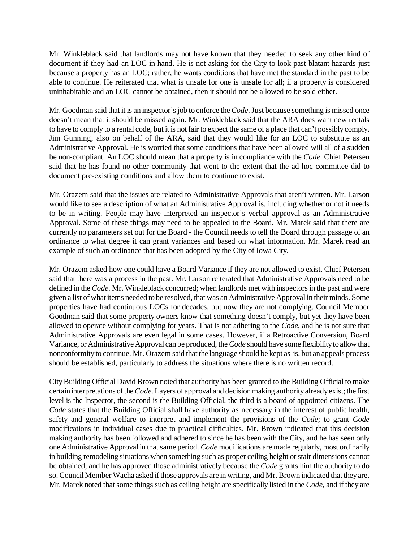Mr. Winkleblack said that landlords may not have known that they needed to seek any other kind of document if they had an LOC in hand. He is not asking for the City to look past blatant hazards just because a property has an LOC; rather, he wants conditions that have met the standard in the past to be able to continue. He reiterated that what is unsafe for one is unsafe for all; if a property is considered uninhabitable and an LOC cannot be obtained, then it should not be allowed to be sold either.

Mr. Goodman said that it is an inspector's job to enforce the *Code*. Just because something is missed once doesn't mean that it should be missed again. Mr. Winkleblack said that the ARA does want new rentals to have to comply to a rental code, but it is not fair to expect the same of a place that can't possibly comply. Jim Gunning, also on behalf of the ARA, said that they would like for an LOC to substitute as an Administrative Approval. He is worried that some conditions that have been allowed will all of a sudden be non-compliant. An LOC should mean that a property is in compliance with the *Code*. Chief Petersen said that he has found no other community that went to the extent that the ad hoc committee did to document pre-existing conditions and allow them to continue to exist.

Mr. Orazem said that the issues are related to Administrative Approvals that aren't written. Mr. Larson would like to see a description of what an Administrative Approval is, including whether or not it needs to be in writing. People may have interpreted an inspector's verbal approval as an Administrative Approval. Some of these things may need to be appealed to the Board. Mr. Marek said that there are currently no parameters set out for the Board - the Council needs to tell the Board through passage of an ordinance to what degree it can grant variances and based on what information. Mr. Marek read an example of such an ordinance that has been adopted by the City of Iowa City.

Mr. Orazem asked how one could have a Board Variance if they are not allowed to exist. Chief Petersen said that there was a process in the past. Mr. Larson reiterated that Administrative Approvals need to be defined in the *Code*. Mr. Winkleblack concurred; when landlords met with inspectors in the past and were given a list of what items needed to be resolved, that was an Administrative Approval in their minds. Some properties have had continuous LOCs for decades, but now they are not complying. Council Member Goodman said that some property owners know that something doesn't comply, but yet they have been allowed to operate without complying for years. That is not adhering to the *Code*, and he is not sure that Administrative Approvals are even legal in some cases. However, if a Retroactive Conversion, Board Variance, or Administrative Approval can be produced, the *Code* should have some flexibility to allow that nonconformity to continue. Mr. Orazem said that the language should be kept as-is, but an appeals process should be established, particularly to address the situations where there is no written record.

City Building Official David Brown noted that authority has been granted to the Building Official to make certain interpretations of the *Code*. Layers of approval and decision making authority already exist; the first level is the Inspector, the second is the Building Official, the third is a board of appointed citizens. The *Code* states that the Building Official shall have authority as necessary in the interest of public health, safety and general welfare to interpret and implement the provisions of the *Code*; to grant *Code* modifications in individual cases due to practical difficulties. Mr. Brown indicated that this decision making authority has been followed and adhered to since he has been with the City, and he has seen only one Administrative Approval in that same period. *Code* modifications are made regularly, most ordinarily in building remodeling situations when something such as proper ceiling height or stair dimensions cannot be obtained, and he has approved those administratively because the *Code* grants him the authority to do so. Council Member Wacha asked if those approvals are in writing, and Mr. Brown indicated that they are. Mr. Marek noted that some things such as ceiling height are specifically listed in the *Code*, and if they are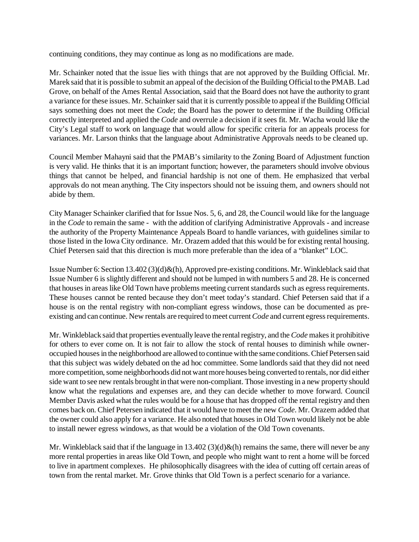continuing conditions, they may continue as long as no modifications are made.

Mr. Schainker noted that the issue lies with things that are not approved by the Building Official. Mr. Marek said that it is possible to submit an appeal of the decision of the Building Official to the PMAB. Lad Grove, on behalf of the Ames Rental Association, said that the Board does not have the authority to grant a variance for these issues. Mr. Schainker said that it is currently possible to appeal if the Building Official says something does not meet the *Code*; the Board has the power to determine if the Building Official correctly interpreted and applied the *Code* and overrule a decision if it sees fit. Mr. Wacha would like the City's Legal staff to work on language that would allow for specific criteria for an appeals process for variances. Mr. Larson thinks that the language about Administrative Approvals needs to be cleaned up.

Council Member Mahayni said that the PMAB's similarity to the Zoning Board of Adjustment function is very valid. He thinks that it is an important function; however, the parameters should involve obvious things that cannot be helped, and financial hardship is not one of them. He emphasized that verbal approvals do not mean anything. The City inspectors should not be issuing them, and owners should not abide by them.

City Manager Schainker clarified that for Issue Nos. 5, 6, and 28, the Council would like for the language in the *Code* to remain the same - with the addition of clarifying Administrative Approvals - and increase the authority of the Property Maintenance Appeals Board to handle variances, with guidelines similar to those listed in the Iowa City ordinance. Mr. Orazem added that this would be for existing rental housing. Chief Petersen said that this direction is much more preferable than the idea of a "blanket" LOC.

Issue Number 6: Section 13.402 (3)(d)&(h), Approved pre-existing conditions. Mr. Winkleblack said that Issue Number 6 is slightly different and should not be lumped in with numbers 5 and 28. He is concerned that houses in areas like Old Town have problems meeting current standards such as egress requirements. These houses cannot be rented because they don't meet today's standard. Chief Petersen said that if a house is on the rental registry with non-compliant egress windows, those can be documented as preexisting and can continue. New rentals are required to meet current *Code* and current egress requirements.

Mr. Winkleblack said that properties eventually leave the rental registry, and the *Code* makes it prohibitive for others to ever come on. It is not fair to allow the stock of rental houses to diminish while owneroccupied houses in the neighborhood are allowed to continue with the same conditions. Chief Petersen said that this subject was widely debated on the ad hoc committee. Some landlords said that they did not need more competition, some neighborhoods did not want more houses being converted to rentals, nor did either side want to see new rentals brought in that were non-compliant. Those investing in a new property should know what the regulations and expenses are, and they can decide whether to move forward. Council Member Davis asked what the rules would be for a house that has dropped off the rental registry and then comes back on. Chief Petersen indicated that it would have to meet the new *Code*. Mr. Orazem added that the owner could also apply for a variance. He also noted that houses in Old Town would likely not be able to install newer egress windows, as that would be a violation of the Old Town covenants.

Mr. Winkleblack said that if the language in 13.402 (3)(d) $\&$ (h) remains the same, there will never be any more rental properties in areas like Old Town, and people who might want to rent a home will be forced to live in apartment complexes. He philosophically disagrees with the idea of cutting off certain areas of town from the rental market. Mr. Grove thinks that Old Town is a perfect scenario for a variance.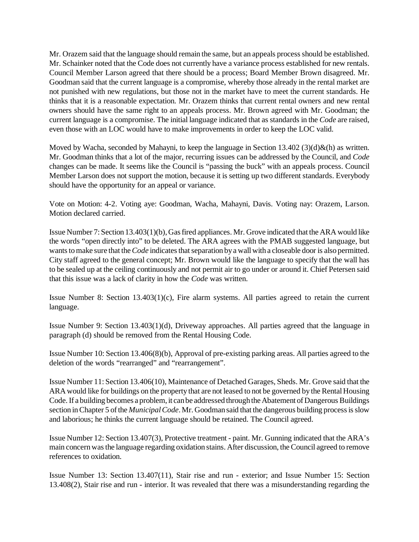Mr. Orazem said that the language should remain the same, but an appeals process should be established. Mr. Schainker noted that the Code does not currently have a variance process established for new rentals. Council Member Larson agreed that there should be a process; Board Member Brown disagreed. Mr. Goodman said that the current language is a compromise, whereby those already in the rental market are not punished with new regulations, but those not in the market have to meet the current standards. He thinks that it is a reasonable expectation. Mr. Orazem thinks that current rental owners and new rental owners should have the same right to an appeals process. Mr. Brown agreed with Mr. Goodman; the current language is a compromise. The initial language indicated that as standards in the *Code* are raised, even those with an LOC would have to make improvements in order to keep the LOC valid.

Moved by Wacha, seconded by Mahayni, to keep the language in Section 13.402 (3)(d)&(h) as written. Mr. Goodman thinks that a lot of the major, recurring issues can be addressed by the Council, and *Code* changes can be made. It seems like the Council is "passing the buck" with an appeals process. Council Member Larson does not support the motion, because it is setting up two different standards. Everybody should have the opportunity for an appeal or variance.

Vote on Motion: 4-2. Voting aye: Goodman, Wacha, Mahayni, Davis. Voting nay: Orazem, Larson. Motion declared carried.

Issue Number 7: Section 13.403(1)(b), Gas fired appliances. Mr. Grove indicated that the ARA would like the words "open directly into" to be deleted. The ARA agrees with the PMAB suggested language, but wants to make sure that the *Code* indicates that separation by a wall with a closeable door is also permitted. City staff agreed to the general concept; Mr. Brown would like the language to specify that the wall has to be sealed up at the ceiling continuously and not permit air to go under or around it. Chief Petersen said that this issue was a lack of clarity in how the *Code* was written.

Issue Number 8: Section  $13.403(1)(c)$ , Fire alarm systems. All parties agreed to retain the current language.

Issue Number 9: Section 13.403(1)(d), Driveway approaches. All parties agreed that the language in paragraph (d) should be removed from the Rental Housing Code.

Issue Number 10: Section 13.406(8)(b), Approval of pre-existing parking areas. All parties agreed to the deletion of the words "rearranged" and "rearrangement".

Issue Number 11: Section 13.406(10), Maintenance of Detached Garages, Sheds. Mr. Grove said that the ARA would like for buildings on the property that are not leased to not be governed by the Rental Housing Code. If a building becomes a problem, it can be addressed through the Abatement of Dangerous Buildings section in Chapter 5 of the *Municipal Code*. Mr. Goodman said that the dangerous building process is slow and laborious; he thinks the current language should be retained. The Council agreed.

Issue Number 12: Section 13.407(3), Protective treatment - paint. Mr. Gunning indicated that the ARA's main concern was the language regarding oxidation stains. After discussion, the Council agreed to remove references to oxidation.

Issue Number 13: Section 13.407(11), Stair rise and run - exterior; and Issue Number 15: Section 13.408(2), Stair rise and run - interior. It was revealed that there was a misunderstanding regarding the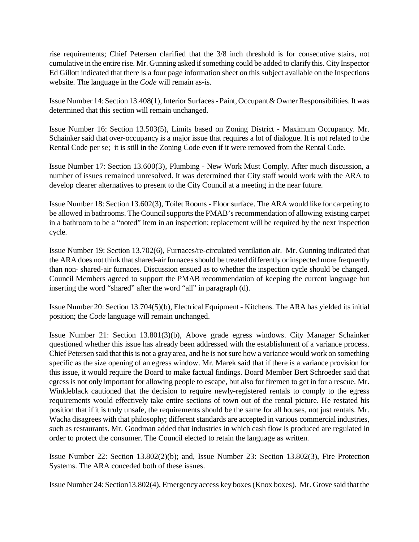rise requirements; Chief Petersen clarified that the 3/8 inch threshold is for consecutive stairs, not cumulative in the entire rise. Mr. Gunning asked if something could be added to clarify this. City Inspector Ed Gillott indicated that there is a four page information sheet on this subject available on the Inspections website. The language in the *Code* will remain as-is.

Issue Number 14: Section 13.408(1), Interior Surfaces - Paint, Occupant & Owner Responsibilities. It was determined that this section will remain unchanged.

Issue Number 16: Section 13.503(5), Limits based on Zoning District - Maximum Occupancy. Mr. Schainker said that over-occupancy is a major issue that requires a lot of dialogue. It is not related to the Rental Code per se; it is still in the Zoning Code even if it were removed from the Rental Code.

Issue Number 17: Section 13.600(3), Plumbing - New Work Must Comply. After much discussion, a number of issues remained unresolved. It was determined that City staff would work with the ARA to develop clearer alternatives to present to the City Council at a meeting in the near future.

Issue Number 18: Section 13.602(3), Toilet Rooms - Floor surface. The ARA would like for carpeting to be allowed in bathrooms. The Council supports the PMAB's recommendation of allowing existing carpet in a bathroom to be a "noted" item in an inspection; replacement will be required by the next inspection cycle.

Issue Number 19: Section 13.702(6), Furnaces/re-circulated ventilation air. Mr. Gunning indicated that the ARA does not think that shared-air furnaces should be treated differently or inspected more frequently than non- shared-air furnaces. Discussion ensued as to whether the inspection cycle should be changed. Council Members agreed to support the PMAB recommendation of keeping the current language but inserting the word "shared" after the word "all" in paragraph (d).

Issue Number 20: Section 13.704(5)(b), Electrical Equipment - Kitchens. The ARA has yielded its initial position; the *Code* language will remain unchanged.

Issue Number 21: Section 13.801(3)(b), Above grade egress windows. City Manager Schainker questioned whether this issue has already been addressed with the establishment of a variance process. Chief Petersen said that this is not a gray area, and he is not sure how a variance would work on something specific as the size opening of an egress window. Mr. Marek said that if there is a variance provision for this issue, it would require the Board to make factual findings. Board Member Bert Schroeder said that egress is not only important for allowing people to escape, but also for firemen to get in for a rescue. Mr. Winkleblack cautioned that the decision to require newly-registered rentals to comply to the egress requirements would effectively take entire sections of town out of the rental picture. He restated his position that if it is truly unsafe, the requirements should be the same for all houses, not just rentals. Mr. Wacha disagrees with that philosophy; different standards are accepted in various commercial industries, such as restaurants. Mr. Goodman added that industries in which cash flow is produced are regulated in order to protect the consumer. The Council elected to retain the language as written.

Issue Number 22: Section 13.802(2)(b); and, Issue Number 23: Section 13.802(3), Fire Protection Systems. The ARA conceded both of these issues.

Issue Number 24: Section13.802(4), Emergency access key boxes (Knox boxes). Mr. Grove said that the